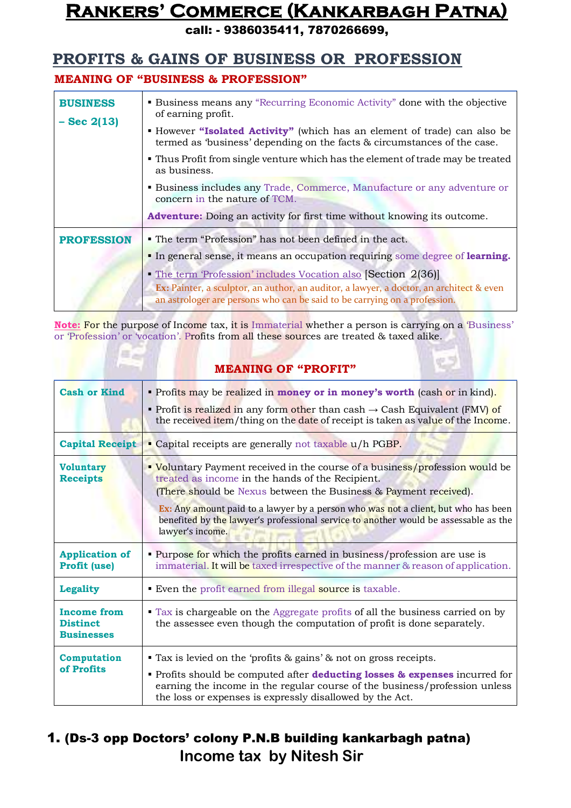call: - 9386035411, 7870266699,

### **PROFITS & GAINS OF BUSINESS OR PROFESSION**

#### **MEANING OF "BUSINESS & PROFESSION"**

| <b>BUSINESS</b><br>$-$ Sec 2(13) | <b>• Business means any "Recurring Economic Activity" done with the objective</b><br>of earning profit.<br>" However "Isolated Activity" (which has an element of trade) can also be<br>termed as 'business' depending on the facts & circumstances of the case. |
|----------------------------------|------------------------------------------------------------------------------------------------------------------------------------------------------------------------------------------------------------------------------------------------------------------|
|                                  | • Thus Profit from single venture which has the element of trade may be treated<br>as business.                                                                                                                                                                  |
|                                  | <b>Example 3</b> Business includes any Trade, Commerce, Manufacture or any adventure or<br>concern in the nature of TCM.                                                                                                                                         |
|                                  | <b>Adventure:</b> Doing an activity for first time without knowing its outcome.                                                                                                                                                                                  |
| <b>PROFESSION</b>                | • The term "Profession" has not been defined in the act.                                                                                                                                                                                                         |
|                                  | In general sense, it means an occupation requiring some degree of learning.                                                                                                                                                                                      |
|                                  | • The term 'Profession' includes Vocation also [Section 2(36)]<br>Ex: Painter, a sculptor, an author, an auditor, a lawyer, a doctor, an architect & even<br>an astrologer are persons who can be said to be carrying on a profession.                           |

**Note:** For the purpose of Income tax, it is Immaterial whether a person is carrying on a 'Business' or 'Profession' or 'vocation'. Profits from all these sources are treated & taxed alike.

#### **MEANING OF "PROFIT"**

| <b>Cash or Kind</b>                                        | Profits may be realized in money or in money's worth (cash or in kind).<br>• Profit is realized in any form other than cash $\rightarrow$ Cash Equivalent (FMV) of<br>the received item/thing on the date of receipt is taken as value of the Income.                                                                                                                                                         |
|------------------------------------------------------------|---------------------------------------------------------------------------------------------------------------------------------------------------------------------------------------------------------------------------------------------------------------------------------------------------------------------------------------------------------------------------------------------------------------|
| <b>Capital Receipt</b>                                     | • Capital receipts are generally not taxable u/h PGBP.                                                                                                                                                                                                                                                                                                                                                        |
| <b>Voluntary</b><br><b>Receipts</b>                        | • Voluntary Payment received in the course of a business/profession would be<br>treated as income in the hands of the Recipient.<br>(There should be Nexus between the Business & Payment received).<br><b>Ex:</b> Any amount paid to a lawyer by a person who was not a client, but who has been<br>benefited by the lawyer's professional service to another would be assessable as the<br>lawyer's income. |
| <b>Application of</b><br><b>Profit (use)</b>               | • Purpose for which the profits earned in business/profession are use is<br>immaterial. It will be taxed irrespective of the manner & reason of application.                                                                                                                                                                                                                                                  |
| <b>Legality</b>                                            | Even the profit earned from illegal source is taxable.                                                                                                                                                                                                                                                                                                                                                        |
| <b>Income from</b><br><b>Distinct</b><br><b>Businesses</b> | • Tax is chargeable on the Aggregate profits of all the business carried on by<br>the assessee even though the computation of profit is done separately.                                                                                                                                                                                                                                                      |
| Computation<br>of Profits                                  | $\blacksquare$ Tax is levied on the 'profits & gains' & not on gross receipts.<br>Profits should be computed after <b>deducting losses &amp; expenses</b> incurred for<br>earning the income in the regular course of the business/profession unless<br>the loss or expenses is expressly disallowed by the Act.                                                                                              |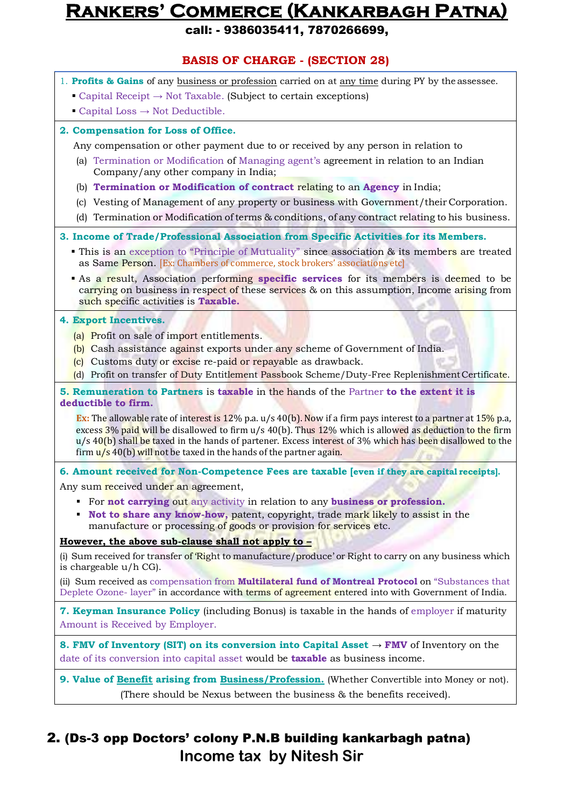call: - 9386035411, 7870266699,

#### **BASIS OF CHARGE - (SECTION 28)** 1. **Profits & Gains** of any business or profession carried on at any time during PY by the assessee. • Capital Receipt  $\rightarrow$  Not Taxable. (Subject to certain exceptions)  $\blacksquare$  Capital Loss  $\rightarrow$  Not Deductible. **2. Compensation for Loss of Office.** Any compensation or other payment due to or received by any person in relation to (a) Termination or Modification of Managing agent's agreement in relation to an Indian Company/any other company in India; (b) **Termination or Modification of contract** relating to an **Agency** in India; (c) Vesting of Management of any property or business with Government/their Corporation. (d) Termination or Modification of terms & conditions, of any contract relating to his business. **3. Income of Trade/Professional Association from Specific Activities for its Members.** • This is an exception to "Principle of Mutuality" since association & its members are treated as Same Person. [Ex: Chambers of commerce, stock brokers' associations etc] As a result, Association performing **specific services** for its members is deemed to be carrying on business in respect of these services & on this assumption, Income arising from such specific activities is **Taxable. 4. Export Incentives.** (a) Profit on sale of import entitlements. (b) Cash assistance against exports under any scheme of Government of India. (c) Customs duty or excise re-paid or repayable as drawback. (d) Profit on transfer of Duty Entitlement Passbook Scheme/Duty-Free Replenishment Certificate. **5. Remuneration to Partners** is **taxable** in the hands of the Partner **to the extent it is deductible to firm. Ex:** The allowable rate of interest is 12% p.a. u/s 40(b). Now if a firm pays interest to a partner at 15% p.a, excess 3% paid will be disallowed to firm u/s 40(b). Thus 12% which is allowed as deduction to the firm u/s 40(b) shall be taxed in the hands of partener. Excess interest of 3% which has been disallowed to the firm  $\frac{u}{s}$  40(b) will not be taxed in the hands of the partner again. **6. Amount received for Non-Competence Fees are taxable [even if they are capital receipts].** Any sum received under an agreement, For **not carrying** out any activity in relation to any **business or profession. Not to share any know-how,** patent, copyright, trade mark likely to assist in the manufacture or processing of goods or provision for services etc. **However, the above sub-clause shall not apply to –** (i) Sum received for transfer of Right to manufacture/produce' or Right to carry on any business which is chargeable u/h CG). (ii) Sum received as compensation from **Multilateral fund of Montreal Protocol** on "Substances that Deplete Ozone- layer" in accordance with terms of agreement entered into with Government of India. **7. Keyman Insurance Policy** (including Bonus) is taxable in the hands of employer if maturity Amount is Received by Employer. **8. FMV of Inventory (SIT) on its conversion into Capital Asset** → **FMV** of Inventory on the date of its conversion into capital asset would be **taxable** as business income. **9. Value of Benefit arising from Business/Profession.** (Whether Convertible into Money or not). (There should be Nexus between the business & the benefits received).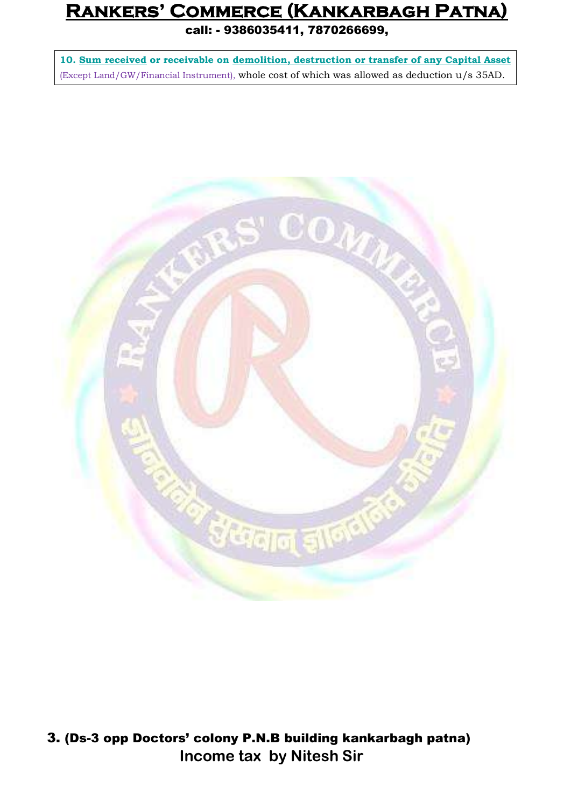call: - 9386035411, 7870266699,

**10. Sum received or receivable on demolition, destruction or transfer of any Capital Asset** (Except Land/GW/Financial Instrument), whole cost of which was allowed as deduction u/s 35AD.

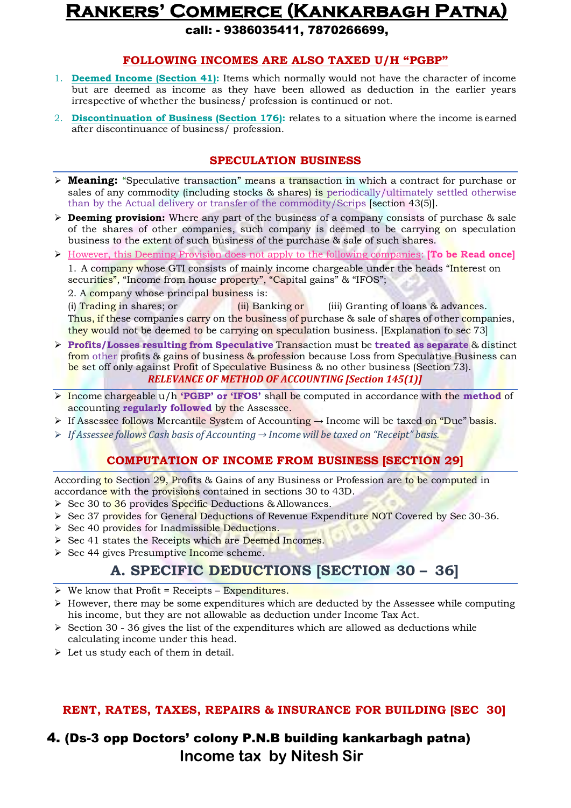call: - 9386035411, 7870266699,

#### **FOLLOWING INCOMES ARE ALSO TAXED U/H "PGBP"**

- 1. **Deemed Income (Section 41):** Items which normally would not have the character of income but are deemed as income as they have been allowed as deduction in the earlier years irrespective of whether the business/ profession is continued or not.
- 2. **Discontinuation of Business (Section 176):** relates to a situation where the income is earned after discontinuance of business/ profession.

#### **SPECULATION BUSINESS**

- **Meaning:** "Speculative transaction" means a transaction in which a contract for purchase or sales of any commodity (including stocks & shares) is periodically/ultimately settled otherwise than by the Actual delivery or transfer of the commodity/Scrips [section 43(5)].
- **Deeming provision:** Where any part of the business of a company consists of purchase & sale of the shares of other companies, such company is deemed to be carrying on speculation business to the extent of such business of the purchase & sale of such shares.
- $\triangleright$  However, this Deeming Provision does not apply to the following companies: **[To be Read once]** 1. A company whose GTI consists of mainly income chargeable under the heads "Interest on securities", "Income from house property", "Capital gains" & "IFOS";
	- 2. A company whose principal business is:

(i) Trading in shares; or  $(i)$  Banking or  $(iii)$  Granting of loans & advances. Thus, if these companies carry on the business of purchase & sale of shares of other companies, they would not be deemed to be carrying on speculation business. [Explanation to sec 73]

- **Profits/Losses resulting from Speculative** Transaction must be **treated as separate** & distinct from other profits & gains of business & profession because Loss from Speculative Business can be set off only against Profit of Speculative Business & no other business (Section 73). *RELEVANCE OF METHOD OF ACCOUNTING [Section 145(1)]*
- Income chargeable u/h **'PGBP' or 'IFOS'** shall be computed in accordance with the **method** of accounting **regularly followed** by the Assessee.
- If Assessee follows Mercantile System of Accounting  $\rightarrow$  Income will be taxed on "Due" basis.
- *If Assessee follows Cash basis of Accounting → Income will be taxed on "Receipt" basis.*

#### **COMPUTATION OF INCOME FROM BUSINESS [SECTION 29]**

According to Section 29, Profits & Gains of any Business or Profession are to be computed in accordance with the provisions contained in sections 30 to 43D.

- $\triangleright$  Sec 30 to 36 provides Specific Deductions & Allowances.
- $\triangleright$  Sec 37 provides for General Deductions of Revenue Expenditure NOT Covered by Sec 30-36.
- Sec 40 provides for Inadmissible Deductions.
- Sec 41 states the Receipts which are Deemed Incomes.
- $\triangleright$  Sec 44 gives Presumptive Income scheme.

### **A. SPECIFIC DEDUCTIONS [SECTION 30 – 36]**

- $\triangleright$  We know that Profit = Receipts Expenditures.
- $\triangleright$  However, there may be some expenditures which are deducted by the Assessee while computing his income, but they are not allowable as deduction under Income Tax Act.
- $\geq$  Section 30 36 gives the list of the expenditures which are allowed as deductions while calculating income under this head.
- $\triangleright$  Let us study each of them in detail.

#### **RENT, RATES, TAXES, REPAIRS & INSURANCE FOR BUILDING [SEC 30]**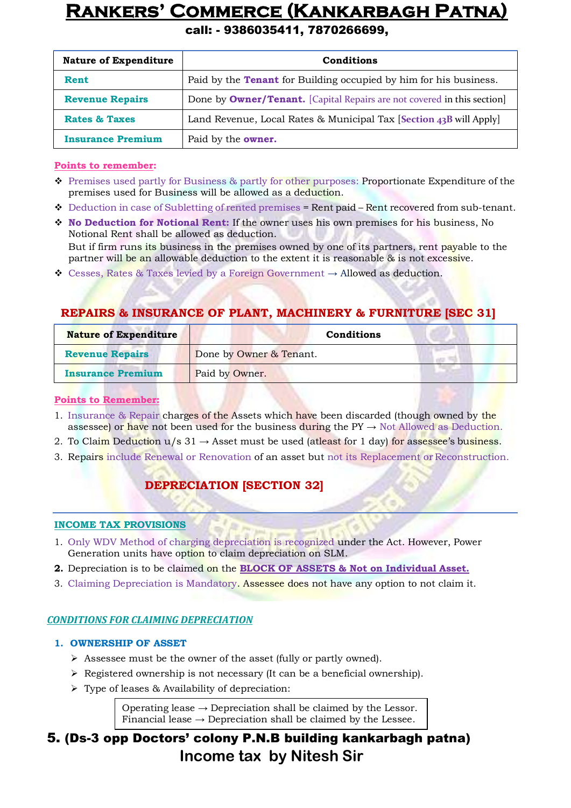#### call: - 9386035411, 7870266699,

| <b>Nature of Expenditure</b> | Conditions                                                                     |
|------------------------------|--------------------------------------------------------------------------------|
| Rent                         | Paid by the <b>Tenant</b> for Building occupied by him for his business.       |
| <b>Revenue Repairs</b>       | Done by <b>Owner/Tenant.</b> [Capital Repairs are not covered in this section] |
| <b>Rates &amp; Taxes</b>     | Land Revenue, Local Rates & Municipal Tax [Section $43B$ will Apply]           |
| <b>Insurance Premium</b>     | Paid by the <b>owner.</b>                                                      |

#### **Points to remember:**

- ◆ Premises used partly for Business & partly for other purposes: Proportionate Expenditure of the premises used for Business will be allowed as a deduction.
- $\bullet$  Deduction in case of Subletting of rented premises = Rent paid Rent recovered from sub-tenant.
- **No Deduction for Notional Rent:** If the owner uses his own premises for his business, No Notional Rent shall be allowed as deduction. But if firm runs its business in the premises owned by one of its partners, rent payable to the partner will be an allowable deduction to the extent it is reasonable & is not excessive.
- $\div$  Cesses, Rates & Taxes levied by a Foreign Government  $\rightarrow$  Allowed as deduction.

#### **REPAIRS & INSURANCE OF PLANT, MACHINERY & FURNITURE [SEC 31]**

| <b>Nature of Expenditure</b> | Conditions              |  |
|------------------------------|-------------------------|--|
| <b>Revenue Repairs</b>       | Done by Owner & Tenant. |  |
| <b>Insurance Premium</b>     | Paid by Owner.          |  |

#### **Points to Remember:**

- 1. Insurance & Repair charges of the Assets which have been discarded (though owned by the assessee) or have not been used for the business during the  $PY \rightarrow Not$  Allowed as Deduction.
- 2. To Claim Deduction  $u/s$  31  $\rightarrow$  Asset must be used (at least for 1 day) for assessee's business.
- 3. Repairs include Renewal or Renovation of an asset but not its Replacement or Reconstruction.

### **DEPRECIATION [SECTION 32]**

#### **INCOME TAX PROVISIONS**

- 1. Only WDV Method of charging depreciation is recognized under the Act. However, Power Generation units have option to claim depreciation on SLM.
- **2.** Depreciation is to be claimed on the **BLOCK OF ASSETS & Not on Individual Asset.**
- 3. Claiming Depreciation is Mandatory. Assessee does not have any option to not claim it.

#### *CONDITIONS FOR CLAIMING DEPRECIATION*

#### **1. OWNERSHIP OF ASSET**

- Assessee must be the owner of the asset (fully or partly owned).
- $\triangleright$  Registered ownership is not necessary (It can be a beneficial ownership).
- $\triangleright$  Type of leases & Availability of depreciation:

Operating lease  $\rightarrow$  Depreciation shall be claimed by the Lessor. Financial lease  $\rightarrow$  Depreciation shall be claimed by the Lessee.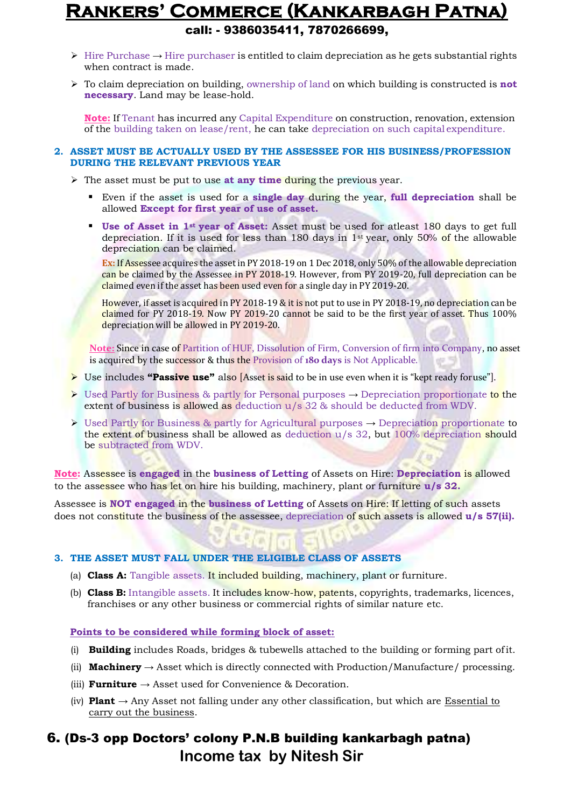### **Rankers' Commerce (Kankarbagh Patna)** call: - 9386035411, 7870266699,

- $\triangleright$  Hire Purchase  $\rightarrow$  Hire purchaser is entitled to claim depreciation as he gets substantial rights when contract is made.
- $\triangleright$  To claim depreciation on building, ownership of land on which building is constructed is **not necessary**. Land may be lease-hold.

**Note:** If Tenant has incurred any Capital Expenditure on construction, renovation, extension of the building taken on lease/rent, he can take depreciation on such capital expenditure.

#### **2. ASSET MUST BE ACTUALLY USED BY THE ASSESSEE FOR HIS BUSINESS/PROFESSION DURING THE RELEVANT PREVIOUS YEAR**

 $\triangleright$  The asset must be put to use **at any time during** the previous year.

- Even if the asset is used for a **single day** during the year, **full depreciation** shall be allowed **Except for first year of use of asset.**
- **Use of Asset in 1st year of Asset:** Asset must be used for atleast 180 days to get full depreciation. If it is used for less than 180 days in  $1<sup>st</sup>$  year, only 50% of the allowable depreciation can be claimed.

**Ex:** If Assessee acquires the assetin PY 2018-19 on 1 Dec 2018, only 50% of the allowable depreciation can be claimed by the Assessee in PY 2018-19. However, from PY 2019-20, full depreciation can be claimed even if the asset has been used even for a single day in PY 2019-20.

However, if asset is acquired in PY 2018-19 & it is not put to use in PY 2018-19, no depreciation can be claimed for PY 2018-19. Now PY 2019-20 cannot be said to be the first year of asset. Thus 100% depreciation will be allowed in PY 2019-20.

**Note:** Since in case of Partition of HUF, Dissolution of Firm, Conversion of firm into Company, no asset is acquired by the successor & thus the Provision of **180 days** is Not Applicable.

- **E** Use includes **"Passive use"** also [Asset is said to be in use even when it is "kept ready for use"].
- $\triangleright$  Used Partly for Business & partly for Personal purposes  $\rightarrow$  Depreciation proportionate to the extent of business is allowed as deduction u/s 32 & should be deducted from WDV.
- Used Partly for Business & partly for Agricultural purposes → Depreciation proportionate to the extent of business shall be allowed as deduction u/s 32, but 100% depreciation should be subtracted from WDV.

**Note:** Assessee is **engaged** in the **business of Letting** of Assets on Hire: **Depreciation** is allowed to the assessee who has let on hire his building, machinery, plant or furniture **u/s 32.**

Assessee is **NOT engaged** in the **business of Letting** of Assets on Hire: If letting of such assets does not constitute the business of the assessee, depreciation of such assets is allowed **u/s 57(ii).**

#### **3. THE ASSET MUST FALL UNDER THE ELIGIBLE CLASS OF ASSETS**

- (a) **Class A:** Tangible assets. It included building, machinery, plant or furniture.
- (b) **Class B:** Intangible assets. It includes know-how, patents, copyrights, trademarks, licences, franchises or any other business or commercial rights of similar nature etc.

#### **Points to be considered while forming block of asset:**

- (i) **Building** includes Roads, bridges & tubewells attached to the building or forming part ofit.
- (ii) **Machinery**  $\rightarrow$  Asset which is directly connected with Production/Manufacture/ processing.
- (iii) **Furniture**  $\rightarrow$  Asset used for Convenience & Decoration.
- (iv) **Plant** → Any Asset not falling under any other classification, but which are Essential to carry out the business.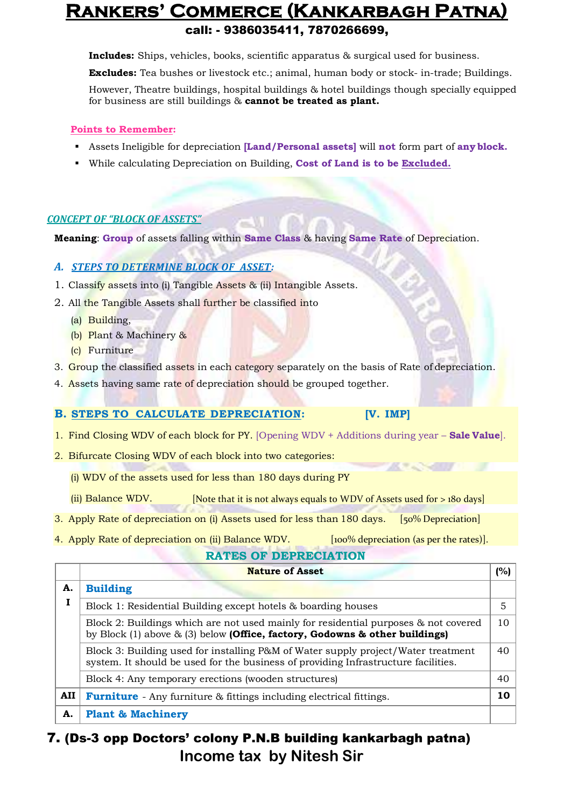### **Rankers' Commerce (Kankarbagh Patna)** call: - 9386035411, 7870266699,

**Includes:** Ships, vehicles, books, scientific apparatus & surgical used for business.

**Excludes:** Tea bushes or livestock etc.; animal, human body or stock- in-trade; Buildings.

However, Theatre buildings, hospital buildings & hotel buildings though specially equipped for business are still buildings & **cannot be treated as plant.**

#### **Points to Remember:**

- Assets Ineligible for depreciation **[Land/Personal assets]** will **not** form part of **any block.**
- While calculating Depreciation on Building, **Cost of Land is to be Excluded.**

#### *CONCEPT OF "BLOCK OF ASSETS"*

**Meaning**: **Group** of assets falling within **Same Class** & having **Same Rate** of Depreciation.

#### *A. STEPS TO DETERMINE BLOCK OF ASSET:*

- 1. Classify assets into (i) Tangible Assets & (ii) Intangible Assets.
- 2. All the Tangible Assets shall further be classified into
	- (a) Building,
	- (b) Plant & Machinery &
	- (c) Furniture
- 3. Group the classified assets in each category separately on the basis of Rate of depreciation.
- 4. Assets having same rate of depreciation should be grouped together.

#### **B. STEPS TO CALCULATE DEPRECIATION: [V. IMP]**

- 1. Find Closing WDV of each block for PY. [Opening WDV + Additions during year **Sale Value**].
- 2. Bifurcate Closing WDV of each block into two categories:
	- (i) WDV of the assets used for less than 180 days during PY
	- (ii) Balance WDV. [Note that it is not always equals to WDV of Assets used for  $>$  180 days]
- 3. Apply Rate of depreciation on (i) Assets used for less than 180 days. [50% Depreciation]
- 4. Apply Rate of depreciation on (ii) Balance WDV. [100% depreciation (as per the rates)].

#### **RATES OF DEPRECIATION**

**KEANSTEIN** 

|     | <b>Nature of Asset</b>                                                                                                                                                   | (%) |
|-----|--------------------------------------------------------------------------------------------------------------------------------------------------------------------------|-----|
| A.  | <b>Building</b>                                                                                                                                                          |     |
| 1   | Block 1: Residential Building except hotels & boarding houses                                                                                                            | 5   |
|     | Block 2: Buildings which are not used mainly for residential purposes & not covered<br>by Block (1) above $\&$ (3) below (Office, factory, Godowns $\&$ other buildings) | 10  |
|     | Block 3: Building used for installing P&M of Water supply project/Water treatment<br>system. It should be used for the business of providing Infrastructure facilities.  | 40  |
|     | Block 4: Any temporary erections (wooden structures)                                                                                                                     | 40  |
| AII | <b>Furniture</b> - Any furniture & fittings including electrical fittings.                                                                                               | 10  |
| А.  | <b>Plant &amp; Machinery</b>                                                                                                                                             |     |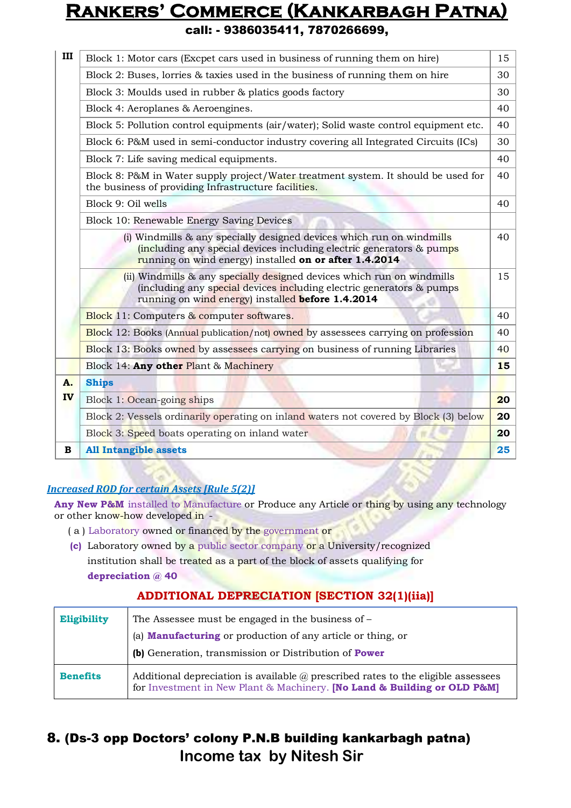|  |  | call: - 9386035411, 7870266699, |
|--|--|---------------------------------|
|--|--|---------------------------------|

| III | Block 1: Motor cars (Excpet cars used in business of running them on hire)                                                                                                                              |    |  |
|-----|---------------------------------------------------------------------------------------------------------------------------------------------------------------------------------------------------------|----|--|
|     | Block 2: Buses, lorries & taxies used in the business of running them on hire                                                                                                                           | 30 |  |
|     | Block 3: Moulds used in rubber & platics goods factory                                                                                                                                                  | 30 |  |
|     | Block 4: Aeroplanes & Aeroengines.                                                                                                                                                                      | 40 |  |
|     | Block 5: Pollution control equipments (air/water); Solid waste control equipment etc.                                                                                                                   | 40 |  |
|     | Block 6: P&M used in semi-conductor industry covering all Integrated Circuits (ICs)                                                                                                                     | 30 |  |
|     | Block 7: Life saving medical equipments.                                                                                                                                                                | 40 |  |
|     | Block 8: P&M in Water supply project/Water treatment system. It should be used for<br>the business of providing Infrastructure facilities.                                                              | 40 |  |
|     | Block 9: Oil wells                                                                                                                                                                                      | 40 |  |
|     | Block 10: Renewable Energy Saving Devices                                                                                                                                                               |    |  |
|     | (i) Windmills & any specially designed devices which run on windmills<br>(including any special devices including electric generators & pumps<br>running on wind energy) installed on or after 1.4.2014 | 40 |  |
|     | (ii) Windmills & any specially designed devices which run on windmills<br>(including any special devices including electric generators & pumps<br>running on wind energy) installed before 1.4.2014     | 15 |  |
|     | <b>Block</b> 11: Computers $\&$ computer softwares.                                                                                                                                                     | 40 |  |
|     | <b>Block 12: Books (Annual publication/not) owned by assessees carrying on profession</b>                                                                                                               | 40 |  |
|     | Block 13: Books owned by assessees carrying on business of running Libraries                                                                                                                            | 40 |  |
|     | Block 14: Any other Plant & Machinery                                                                                                                                                                   | 15 |  |
| A.  | <b>Ships</b>                                                                                                                                                                                            |    |  |
| IV  | Block 1: Ocean-going ships                                                                                                                                                                              | 20 |  |
|     | Block 2: Vessels ordinarily operating on inland waters not covered by Block (3) below                                                                                                                   | 20 |  |
|     | Block 3: Speed boats operating on inland water                                                                                                                                                          | 20 |  |
| B   | <b>All Intangible assets</b>                                                                                                                                                                            | 25 |  |

#### *Increased ROD for certain Assets [Rule 5(2)]*

Any New P&M installed to Manufacture or Produce any Article or thing by using any technology or other know-how developed in -

- ( a ) Laboratory owned or financed by the government or
- **(c)** Laboratory owned by a public sector company or a University/recognized institution shall be treated as a part of the block of assets qualifying for **depreciation @ 40**

#### **ADDITIONAL DEPRECIATION [SECTION 32(1)(iia)]**

| <b>Eligibility</b> | The Assessee must be engaged in the business of –<br>(a) <b>Manufacturing</b> or production of any article or thing, or                                              |
|--------------------|----------------------------------------------------------------------------------------------------------------------------------------------------------------------|
|                    | (b) Generation, transmission or Distribution of Power                                                                                                                |
| <b>Benefits</b>    | Additional depreciation is available $\omega$ prescribed rates to the eligible assessees<br>for Investment in New Plant & Machinery. [No Land & Building or OLD P&M] |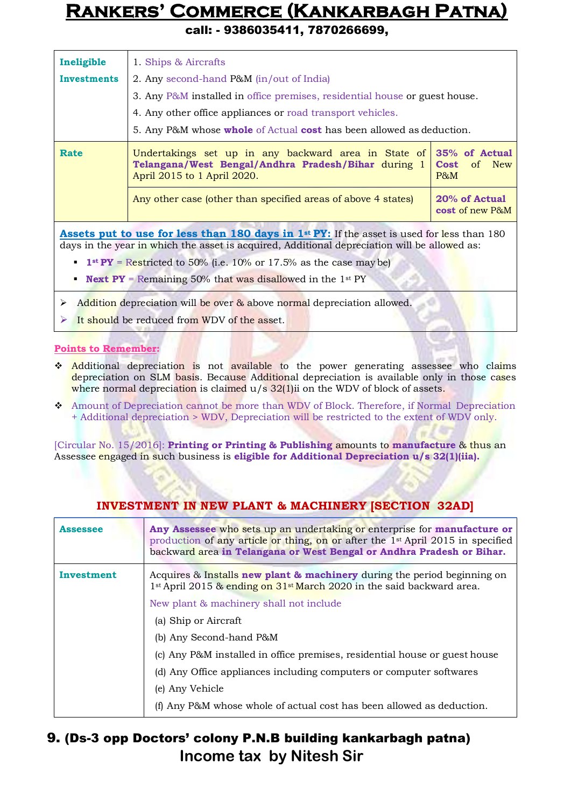call: - 9386035411, 7870266699,

| Ineligible                                                                                                                                                                                        | 1. Ships & Aircrafts                                                                                                                       |                                                  |
|---------------------------------------------------------------------------------------------------------------------------------------------------------------------------------------------------|--------------------------------------------------------------------------------------------------------------------------------------------|--------------------------------------------------|
|                                                                                                                                                                                                   |                                                                                                                                            |                                                  |
| <b>Investments</b>                                                                                                                                                                                | 2. Any second-hand P&M (in/out of India)                                                                                                   |                                                  |
|                                                                                                                                                                                                   | 3. Any P&M installed in office premises, residential house or guest house.                                                                 |                                                  |
|                                                                                                                                                                                                   | 4. Any other office appliances or road transport vehicles.                                                                                 |                                                  |
|                                                                                                                                                                                                   | 5. Any P&M whose <b>whole</b> of Actual <b>cost</b> has been allowed as deduction.                                                         |                                                  |
| <b>Rate</b>                                                                                                                                                                                       | Undertakings set up in any backward area in State of<br>Telangana/West Bengal/Andhra Pradesh/Bihar during 1<br>April 2015 to 1 April 2020. | 35% of Actual<br>New<br><b>Cost</b> of<br>$P\&M$ |
|                                                                                                                                                                                                   | Any other case (other than specified areas of above 4 states)                                                                              | 20% of Actual<br><b>cost</b> of new P&M          |
| <b>Assets put to use for less than 180 days in 1st PY:</b> If the asset is used for less than 180<br>days in the year in which the asset is acquired, Additional depreciation will be allowed as: |                                                                                                                                            |                                                  |
| <b>1 1</b> st $PY$ = Restricted to 50% (i.e. 10% or 17.5% as the case may be)                                                                                                                     |                                                                                                                                            |                                                  |
| <b>Next PY</b> = Remaining 50% that was disallowed in the 1 <sup>st</sup> PY                                                                                                                      |                                                                                                                                            |                                                  |

- $\triangleright$  Addition depreciation will be over & above normal depreciation allowed.
- It should be reduced from WDV of the asset.

#### **Points to Remember:**

- Additional depreciation is not available to the power generating assessee who claims depreciation on SLM basis. Because Additional depreciation is available only in those cases where normal depreciation is claimed  $u/s$  32(1)ii on the WDV of block of assets.
- Amount of Depreciation cannot be more than WDV of Block. Therefore, if Normal Depreciation + Additional depreciation > WDV, Depreciation will be restricted to the extent of WDV only.

[Circular No. 15/2016]: **Printing or Printing & Publishing** amounts to **manufacture** & thus an Assessee engaged in such business is **eligible for Additional Depreciation u/s 32(1)(iia).**

| <b>Assessee</b> | Any Assessee who sets up an undertaking or enterprise for manufacture or<br>production of any article or thing, on or after the 1 <sup>st</sup> April 2015 in specified<br>backward area in Telangana or West Bengal or Andhra Pradesh or Bihar. |
|-----------------|--------------------------------------------------------------------------------------------------------------------------------------------------------------------------------------------------------------------------------------------------|
| Investment      | Acquires $\&$ Installs new plant $\&$ machinery during the period beginning on<br>1 <sup>st</sup> April 2015 & ending on 31 <sup>st</sup> March 2020 in the said backward area.                                                                  |
|                 | New plant & machinery shall not include                                                                                                                                                                                                          |
|                 | (a) Ship or Aircraft                                                                                                                                                                                                                             |
|                 | (b) Any Second-hand P&M                                                                                                                                                                                                                          |
|                 | (c) Any P&M installed in office premises, residential house or guest house                                                                                                                                                                       |
|                 | (d) Any Office appliances including computers or computer softwares                                                                                                                                                                              |
|                 | (e) Any Vehicle                                                                                                                                                                                                                                  |
|                 | (f) Any P&M whose whole of actual cost has been allowed as deduction.                                                                                                                                                                            |

#### **INVESTMENT IN NEW PLANT & MACHINERY [SECTION 32AD]**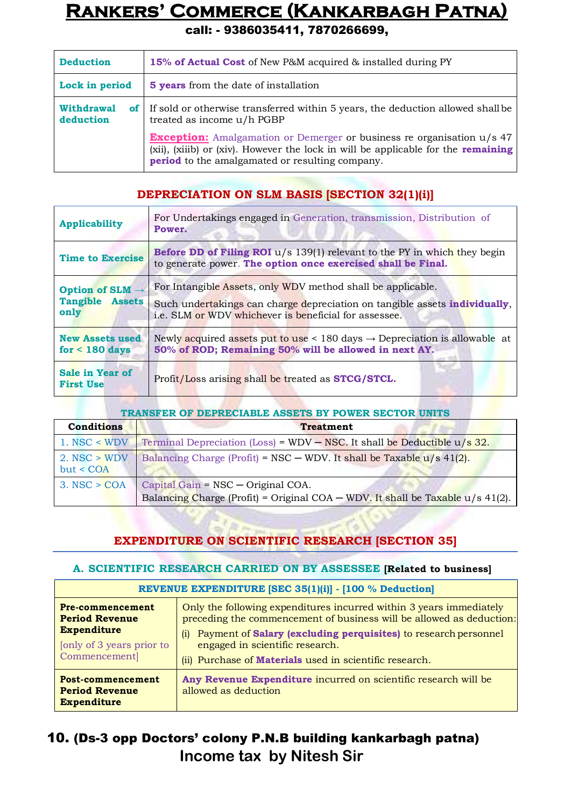call: - 9386035411, 7870266699,

| <b>Deduction</b>               | 15% of Actual Cost of New P&M acquired & installed during PY                                                                                                                                                                 |
|--------------------------------|------------------------------------------------------------------------------------------------------------------------------------------------------------------------------------------------------------------------------|
| Lock in period                 | <b>5 years</b> from the date of installation                                                                                                                                                                                 |
| <b>Withdrawal</b><br>deduction | of If sold or otherwise transferred within 5 years, the deduction allowed shall be<br>treated as income u/h PGBP                                                                                                             |
|                                | <b>Exception:</b> Amalgamation or Demerger or business re organisation u/s 47<br>(xii), (xiiib) or (xiv). However the lock in will be applicable for the remaining<br><b>period</b> to the amalgamated or resulting company. |

#### **DEPRECIATION ON SLM BASIS [SECTION 32(1)(i)]**

| <b>Applicability</b>                                          | For Undertakings engaged in Generation, transmission, Distribution of<br>Power.                                                                                                                            |
|---------------------------------------------------------------|------------------------------------------------------------------------------------------------------------------------------------------------------------------------------------------------------------|
| <b>Time to Exercise</b>                                       | <b>Before DD of Filing ROI</b> $u/s$ 139(1) relevant to the PY in which they begin<br>to generate power. The option once exercised shall be Final.                                                         |
| Option of SLM $\rightarrow$<br><b>Tangible Assets</b><br>only | For Intangible Assets, only WDV method shall be applicable.<br>Such undertakings can charge depreciation on tangible assets <b>individually</b> ,<br>i.e. SLM or WDV whichever is beneficial for assessee. |
| <b>New Assets used</b><br>for $<$ 180 days                    | Newly acquired assets put to use $\lt 180$ days $\to$ Depreciation is allowable at<br>50% of ROD; Remaining 50% will be allowed in next AY.                                                                |
| <b>Sale in Year of</b><br><b>First Use</b>                    | Profit/Loss arising shall be treated as <b>STCG/STCL</b> .                                                                                                                                                 |

| <b>TRANSFER OF DEPRECIABLE ASSETS BY POWER SECTOR UNITS</b> |                                                                                  |  |
|-------------------------------------------------------------|----------------------------------------------------------------------------------|--|
| <b>Conditions</b>                                           | <b>Treatment</b>                                                                 |  |
| $1.$ NSC < WDV                                              | Terminal Depreciation (Loss) = $WDV - NSC$ . It shall be Deductible $u/s$ 32.    |  |
| $2.$ NSC $>$ WDV<br>but < COA                               | Balancing Charge (Profit) = NSC – WDV. It shall be Taxable $u/s$ 41(2).          |  |
| $3.$ NSC $>$ COA                                            | Capital Gain = NSC - Original COA.                                               |  |
|                                                             | Balancing Charge (Profit) = Original COA – WDV. It shall be Taxable $u/s$ 41(2). |  |

### **EXPENDITURE ON SCIENTIFIC RESEARCH [SECTION 35]**

#### **A. SCIENTIFIC RESEARCH CARRIED ON BY ASSESSEE [Related to business]**

| REVENUE EXPENDITURE [SEC 35(1)(i)] - [100 % Deduction]                                                        |                                                                                                                                                                                                                                                                                                                            |  |
|---------------------------------------------------------------------------------------------------------------|----------------------------------------------------------------------------------------------------------------------------------------------------------------------------------------------------------------------------------------------------------------------------------------------------------------------------|--|
| Pre-commencement<br><b>Period Revenue</b><br><b>Expenditure</b><br>[only of 3 years prior to<br>Commencement] | Only the following expenditures incurred within 3 years immediately<br>preceding the commencement of business will be allowed as deduction:<br>Payment of Salary (excluding perquisites) to research personnel<br>(1)<br>engaged in scientific research.<br>(ii) Purchase of <b>Materials</b> used in scientific research. |  |
| Post-commencement<br><b>Period Revenue</b><br><b>Expenditure</b>                                              | Any Revenue Expenditure incurred on scientific research will be<br>allowed as deduction                                                                                                                                                                                                                                    |  |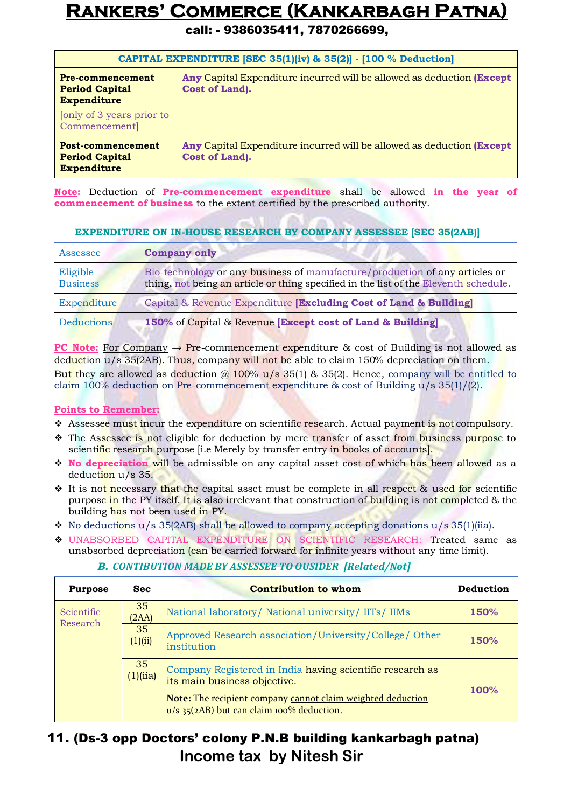call: - 9386035411, 7870266699,

| CAPITAL EXPENDITURE [SEC 35(1)(iv) & 35(2)] - [100 % Deduction]        |                                                                                                  |  |  |
|------------------------------------------------------------------------|--------------------------------------------------------------------------------------------------|--|--|
| <b>Pre-commencement</b><br><b>Period Capital</b><br><b>Expenditure</b> | <b>Any Capital Expenditure incurred will be allowed as deduction (Except</b> )<br>Cost of Land). |  |  |
| only of 3 years prior to<br>Commencement]                              |                                                                                                  |  |  |
| Post-commencement<br><b>Period Capital</b><br><b>Expenditure</b>       | <b>Any Capital Expenditure incurred will be allowed as deduction (Except</b> )<br>Cost of Land). |  |  |

**Note:** Deduction of **Pre-commencement expenditure** shall be allowed **in the year of commencement of business** to the extent certified by the prescribed authority.

#### **EXPENDITURE ON IN-HOUSE RESEARCH BY COMPANY ASSESSEE [SEC 35(2AB)]**

| Assessee                    | <b>Company only</b>                                                                                                                                                 |
|-----------------------------|---------------------------------------------------------------------------------------------------------------------------------------------------------------------|
| Eligible<br><b>Business</b> | Bio-technology or any business of manufacture/production of any articles or<br>thing, not being an article or thing specified in the list of the Eleventh schedule. |
| Expenditure                 | Capital & Revenue Expenditure [Excluding Cost of Land & Building]                                                                                                   |
| <b>Deductions</b>           | 150% of Capital & Revenue [Except cost of Land & Building]                                                                                                          |

**PC Note:** For Company  $\rightarrow$  Pre-commencement expenditure & cost of Building is not allowed as deduction u/s 35(2AB). Thus, company will not be able to claim 150% depreciation on them. But they are allowed as deduction  $\omega$  100% u/s 35(1) & 35(2). Hence, company will be entitled to claim 100% deduction on Pre-commencement expenditure & cost of Building u/s 35(1)/(2).

#### **Points to Remember:**

- \* Assessee must incur the expenditure on scientific research. Actual payment is not compulsory.
- \* The Assessee is not eligible for deduction by mere transfer of asset from business purpose to scientific research purpose *[i.e Merely by transfer entry in books of accounts]*.
- **No depreciation** will be admissible on any capital asset cost of which has been allowed as a deduction u/s 35.
- **↑** It is not necessary that the capital asset must be complete in all respect & used for scientific purpose in the PY itself. It is also irrelevant that construction of building is not completed & the building has not been used in PY.
- $\bullet$  No deductions u/s 35(2AB) shall be allowed to company accepting donations u/s 35(1)(iia).
- UNABSORBED CAPITAL EXPENDITURE ON SCIENTIFIC RESEARCH: Treated same as unabsorbed depreciation (can be carried forward for infinite years without any time limit).

| <b>Purpose</b>                                                                                | <b>Sec</b>    | <b>Contribution to whom</b>                                                                                                     | <b>Deduction</b> |
|-----------------------------------------------------------------------------------------------|---------------|---------------------------------------------------------------------------------------------------------------------------------|------------------|
| Scientific<br>Research                                                                        | 35<br>(2AA)   | National laboratory/ National university/ IITs/ IIMs                                                                            | 150%             |
|                                                                                               | 35<br>(1)(ii) | Approved Research association/University/College/Other<br>institution                                                           | 150%             |
| 35<br>(1)(iia)<br>its main business objective.<br>$u/s$ 35(2AB) but can claim 100% deduction. |               | Company Registered in India having scientific research as<br><b>Note:</b> The recipient company cannot claim weighted deduction | 100%             |

#### *B. CONTIBUTION MADE BY ASSESSEE TO OUSIDER [Related/Not]*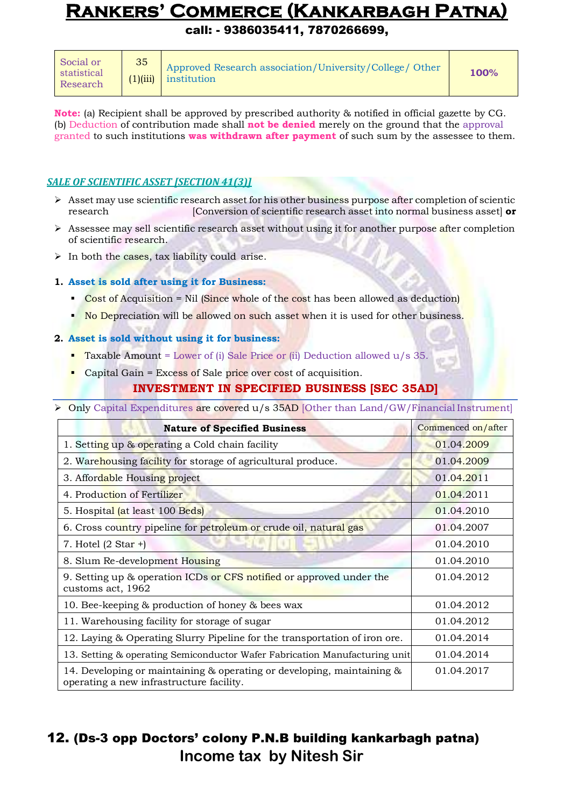call: - 9386035411, 7870266699,

| Social or<br>statistical<br>Research | 35 | Approved Research association/University/College/ Other<br>$(1)(iii)$ institution | 100% |
|--------------------------------------|----|-----------------------------------------------------------------------------------|------|
|--------------------------------------|----|-----------------------------------------------------------------------------------|------|

**Note:** (a) Recipient shall be approved by prescribed authority & notified in official gazette by CG. (b) Deduction of contribution made shall **not be denied** merely on the ground that the approval granted to such institutions **was withdrawn after payment** of such sum by the assessee to them.

#### *SALE OF SCIENTIFIC ASSET [SECTION 41(3)]*

- $\triangleright$  Asset may use scientific research asset for his other business purpose after completion of scientic research [Conversion of scientific research asset into normal business asset] **or**
- $\triangleright$  Assessee may sell scientific research asset without using it for another purpose after completion of scientific research.
- $\triangleright$  In both the cases, tax liability could arise.

#### **1. Asset is sold after using it for Business:**

- Cost of Acquisition = Nil (Since whole of the cost has been allowed as deduction)
- No Depreciation will be allowed on such asset when it is used for other business.

#### **2. Asset is sold without using it for business:**

- **Taxable Amount = Lower of (i) Sale Price or (ii) Deduction allowed**  $u/s$  **35.**
- Capital Gain = Excess of Sale price over cost of acquisition.

#### **INVESTMENT IN SPECIFIED BUSINESS [SEC 35AD]**

> Only Capital Expenditures are covered u/s 35AD [Other than Land/GW/Financial Instrument]

| <b>Nature of Specified Business</b>                                                                                | Commenced on/after |
|--------------------------------------------------------------------------------------------------------------------|--------------------|
| 1. Setting up & operating a Cold chain facility                                                                    | 01.04.2009         |
| 2. Warehousing facility for storage of agricultural produce.                                                       | 01.04.2009         |
| 3. Affordable Housing project                                                                                      | 01.04.2011         |
| 4. Production of Fertilizer                                                                                        | 01.04.2011         |
| 5. Hospital (at least 100 Beds)                                                                                    | 01.04.2010         |
| 6. Cross country pipeline for petroleum or crude oil, natural gas                                                  | 01.04.2007         |
| 7. Hotel $(2 \text{ Star }+)$                                                                                      | 01.04.2010         |
| 8. Slum Re-development Housing                                                                                     | 01.04.2010         |
| 9. Setting up & operation ICDs or CFS notified or approved under the<br>customs act, 1962                          | 01.04.2012         |
| 10. Bee-keeping & production of honey & bees wax                                                                   | 01.04.2012         |
| 11. Warehousing facility for storage of sugar                                                                      | 01.04.2012         |
| 12. Laying & Operating Slurry Pipeline for the transportation of iron ore.                                         | 01.04.2014         |
| 13. Setting & operating Semiconductor Wafer Fabrication Manufacturing unit                                         | 01.04.2014         |
| 14. Developing or maintaining & operating or developing, maintaining &<br>operating a new infrastructure facility. | 01.04.2017         |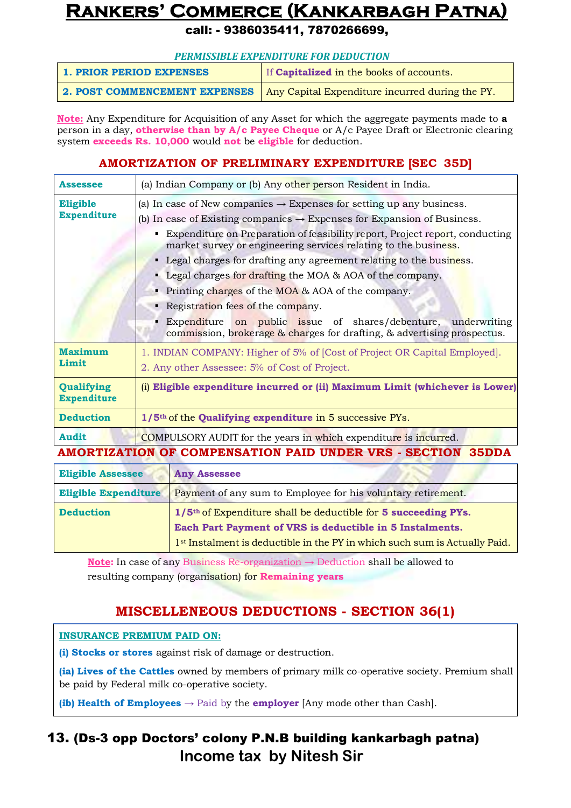call: - 9386035411, 7870266699,

| <b>1. PRIOR PERIOD EXPENSES</b> | If <b>Capitalized</b> in the books of accounts. |
|---------------------------------|-------------------------------------------------|
| 2. POST COMMENCEMENT EXPENSES   | Any Capital Expenditure incurred during the PY. |

**Note:** Any Expenditure for Acquisition of any Asset for which the aggregate payments made to **a**  person in a day, **otherwise than by A/c Payee Cheque** or A/c Payee Draft or Electronic clearing system **exceeds Rs. 10,000** would **not** be **eligible** for deduction.

#### **AMORTIZATION OF PRELIMINARY EXPENDITURE [SEC 35D]**

| <b>Assessee</b>                  | (a) Indian Company or (b) Any other person Resident in India.                                                                                                                                                                                                                                                                                                                                                                                                                                                                                                                                                                                                                                                             |  |
|----------------------------------|---------------------------------------------------------------------------------------------------------------------------------------------------------------------------------------------------------------------------------------------------------------------------------------------------------------------------------------------------------------------------------------------------------------------------------------------------------------------------------------------------------------------------------------------------------------------------------------------------------------------------------------------------------------------------------------------------------------------------|--|
| Eligible<br><b>Expenditure</b>   | (a) In case of New companies $\rightarrow$ Expenses for setting up any business.<br>(b) In case of Existing companies $\rightarrow$ Expenses for Expansion of Business.<br>Expenditure on Preparation of feasibility report, Project report, conducting<br>٠<br>market survey or engineering services relating to the business.<br>• Legal charges for drafting any agreement relating to the business.<br><b>Legal charges for drafting the MOA &amp; AOA of the company.</b><br>• Printing charges of the MOA $\&$ AOA of the company.<br>Registration fees of the company.<br>Expenditure on public issue of shares/debenture, underwriting<br>commission, brokerage & charges for drafting, & advertising prospectus. |  |
| <b>Maximum</b><br>Limit          | 1. INDIAN COMPANY: Higher of 5% of [Cost of Project OR Capital Employed].<br>2. Any other Assessee: 5% of Cost of Project.                                                                                                                                                                                                                                                                                                                                                                                                                                                                                                                                                                                                |  |
| Qualifying<br><b>Expenditure</b> | (i) Eligible expenditure incurred or (ii) Maximum Limit (whichever is Lower)                                                                                                                                                                                                                                                                                                                                                                                                                                                                                                                                                                                                                                              |  |
| <b>Deduction</b>                 | $1/5$ <sup>th</sup> of the <b>Qualifying expenditure</b> in 5 successive PYs.                                                                                                                                                                                                                                                                                                                                                                                                                                                                                                                                                                                                                                             |  |
| Audit                            | <b>COMPULSORY</b> AUDIT for the years in which expenditure is incurred.                                                                                                                                                                                                                                                                                                                                                                                                                                                                                                                                                                                                                                                   |  |

**AMORTIZATION OF COMPENSATION PAID UNDER VRS - SECTION 35DDA**

| <b>Eligible Assessee</b>    | <b>Any Assessee</b>                                                                                                                                                                                                                |  |
|-----------------------------|------------------------------------------------------------------------------------------------------------------------------------------------------------------------------------------------------------------------------------|--|
| <b>Eligible Expenditure</b> | Payment of any sum to Employee for his voluntary retirement.                                                                                                                                                                       |  |
| <b>Deduction</b>            | $1/5$ <sup>th</sup> of Expenditure shall be deductible for 5 succeeding PYs.<br>Each Part Payment of VRS is deductible in 5 Instalments.<br>1 <sup>st</sup> Instalment is deductible in the PY in which such sum is Actually Paid. |  |

**Note:** In case of any Business Re-organization **→** Deduction shall be allowed to resulting company (organisation) for **Remaining years**

### **MISCELLENEOUS DEDUCTIONS - SECTION 36(1)**

#### **INSURANCE PREMIUM PAID ON:**

**(i) Stocks or stores** against risk of damage or destruction.

**(ia) Lives of the Cattles** owned by members of primary milk co-operative society. Premium shall be paid by Federal milk co-operative society.

**(ib) Health of Employees**  $\rightarrow$  Paid by the **employer** [Any mode other than Cash].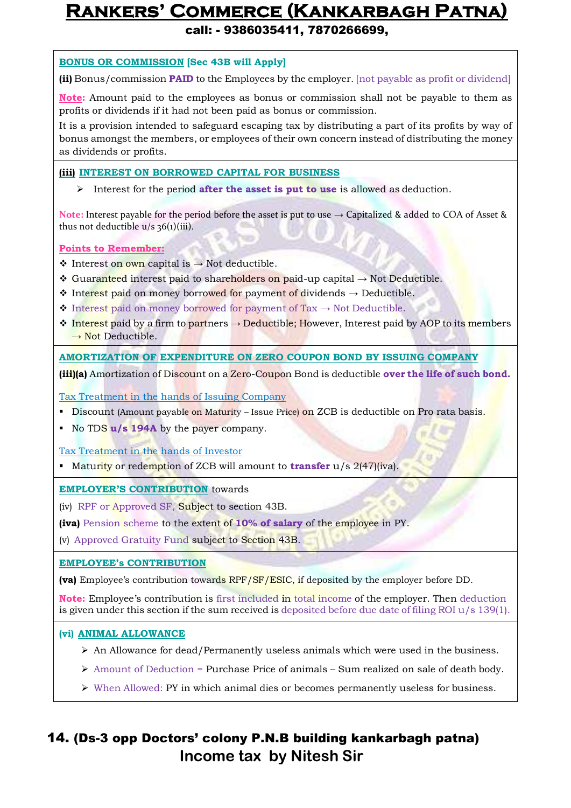call: - 9386035411, 7870266699,

#### **BONUS OR COMMISSION [Sec 43B will Apply]**

**(ii)** Bonus/commission **PAID** to the Employees by the employer. [not payable as profit or dividend]

**Note:** Amount paid to the employees as bonus or commission shall not be payable to them as profits or dividends if it had not been paid as bonus or commission.

It is a provision intended to safeguard escaping tax by distributing a part of its profits by way of bonus amongst the members, or employees of their own concern instead of distributing the money as dividends or profits.

#### **(iii) INTEREST ON BORROWED CAPITAL FOR BUSINESS**

Interest for the period **after the asset is put to use** is allowed as deduction.

**Note:** Interest payable for the period before the asset is put to use → Capitalized & added to COA of Asset & thus not deductible  $u/s$  36(1)(iii).

#### **Points to Remember:**

- $\div$  Interest on own capital is → Not deductible.
- Guaranteed interest paid to shareholders on paid-up capital  $\rightarrow$  Not Deductible.
- $\dots$  Interest paid on money borrowed for payment of dividends → Deductible.
- $\triangle$  Interest paid on money borrowed for payment of Tax  $\rightarrow$  Not Deductible.
- $\div$  Interest paid by a firm to partners  $\rightarrow$  Deductible; However, Interest paid by AOP to its members  $\rightarrow$  Not Deductible.

#### **AMORTIZATION OF EXPENDITURE ON ZERO COUPON BOND BY ISSUING COMPANY**

**(iii)(a)** Amortization of Discount on a Zero-Coupon Bond is deductible **over the life of such bond.**

Tax Treatment in the hands of Issuing Company

- Discount (Amount payable on Maturity Issue Price) on ZCB is deductible on Pro rata basis.
- No TDS **u/s 194A** by the payer company.

#### Tax Treatment in the hands of Investor

Maturity or redemption of ZCB will amount to **transfer** u/s 2(47)(iva).

#### **EMPLOYER'S CONTRIBUTION** towards

(iv) RPF or Approved SF, Subject to section 43B.

**(iva)** Pension scheme to the extent of **10% of salary** of the employee in PY.

(v) Approved Gratuity Fund subject to Section 43B.

#### **EMPLOYEE's CONTRIBUTION**

**(va)** Employee's contribution towards RPF/SF/ESIC, if deposited by the employer before DD.

**Note:** Employee's contribution is first included in total income of the employer. Then deduction is given under this section if the sum received is deposited before due date of filing ROI  $u/s$  139(1).

#### **(vi) ANIMAL ALLOWANCE**

- $\triangleright$  An Allowance for dead/Permanently useless animals which were used in the business.
- $\triangleright$  Amount of Deduction = Purchase Price of animals Sum realized on sale of death body.
- $\triangleright$  When Allowed: PY in which animal dies or becomes permanently useless for business.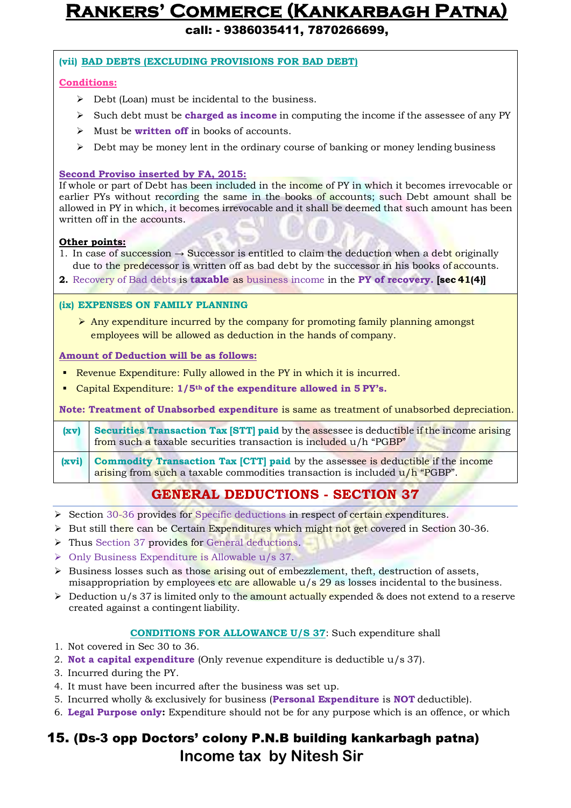call: - 9386035411, 7870266699,

#### **(vii) BAD DEBTS (EXCLUDING PROVISIONS FOR BAD DEBT)**

#### **Conditions:**

- $\triangleright$  Debt (Loan) must be incidental to the business.
- Such debt must be **charged as income** in computing the income if the assessee of any PY
- Must be **written off** in books of accounts.
- $\triangleright$  Debt may be money lent in the ordinary course of banking or money lending business

#### **Second Proviso inserted by FA, 2015:**

If whole or part of Debt has been included in the income of PY in which it becomes irrevocable or earlier PYs without recording the same in the books of accounts; such Debt amount shall be allowed in PY in which, it becomes irrevocable and it shall be deemed that such amount has been written off in the accounts.

#### **Other points:**

- 1. In case of succession  $\rightarrow$  Successor is entitled to claim the deduction when a debt originally due to the **predecessor** is written off as bad debt by the successor in his books of **accounts**.
- **2.** Recovery of Bad debts is **taxable** as business income in the **PY of recovery. [sec 41(4)]**

#### **(ix) EXPENSES ON FAMILY PLANNING**

 $\triangleright$  Any expenditure incurred by the company for promoting family planning amongst employees will be allowed as deduction in the hands of company.

#### **Amount of Deduction will be as follows:**

- Revenue Expenditure: Fully allowed in the PY in which it is incurred.
- Capital Expenditure: **1/5th of the expenditure allowed in 5 PY's.**

**Note: Treatment of Unabsorbed expenditure** is same as treatment of unabsorbed depreciation.

**(xv) Securities Transaction Tax [STT] paid** by the assessee is deductible if the income arising from such a taxable securities transaction is included u/h "PGBP"

**(xvi) Commodity Transaction Tax [CTT] paid** by the assessee is deductible if the income arising from such a taxable commodities transaction is included  $u/h$  "PGBP".

### **GENERAL DEDUCTIONS - SECTION 37**

- Section 30-36 provides for Specific deductions in respect of certain expenditures.
- $\triangleright$  But still there can be Certain Expenditures which might not get covered in Section 30-36.
- > Thus Section 37 provides for General deductions.
- $\triangleright$  Only Business Expenditure is Allowable u/s 37.
- $\triangleright$  Business losses such as those arising out of embezzlement, theft, destruction of assets, misappropriation by employees etc are allowable u/s 29 as losses incidental to the business.
- $\triangleright$  Deduction u/s 37 is limited only to the amount actually expended & does not extend to a reserve created against a contingent liability.

#### **CONDITIONS FOR ALLOWANCE U/S 37**: Such expenditure shall

- 1. Not covered in Sec 30 to 36.
- 2. **Not a capital expenditure** (Only revenue expenditure is deductible u/s 37).
- 3. Incurred during the PY.
- 4. It must have been incurred after the business was set up.
- 5. Incurred wholly & exclusively for business (**Personal Expenditure** is **NOT** deductible).
- 6. **Legal Purpose only:** Expenditure should not be for any purpose which is an offence, or which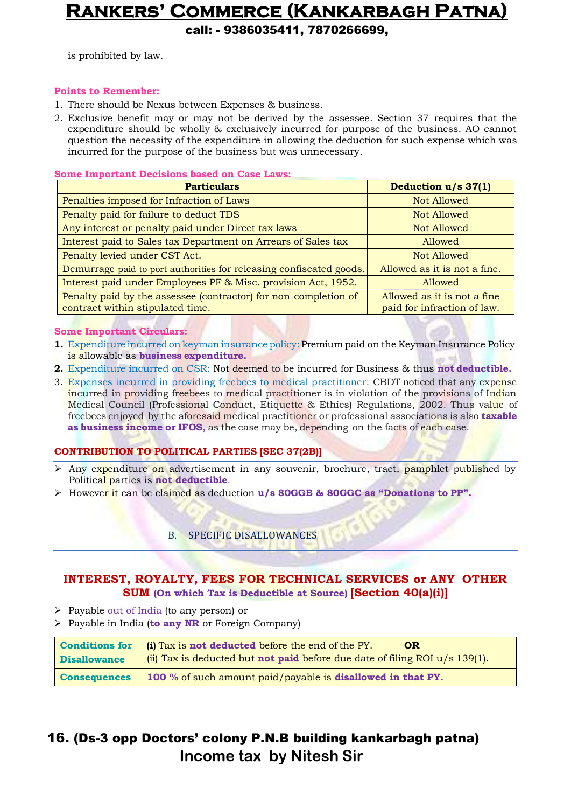call: - 9386035411, 7870266699,

is prohibited by law.

#### **Points to Remember:**

- 1. There should be Nexus between Expenses & business.
- 2. Exclusive benefit may or may not be derived by the assessee. Section 37 requires that the expenditure should be wholly & exclusively incurred for purpose of the business. AO cannot question the necessity of the expenditure in allowing the deduction for such expense which was incurred for the purpose of the business but was unnecessary.

#### **Some Important Decisions based on Case Laws:**

| <b>Particulars</b>                                                                                  | Deduction u/s 37(1)                                        |
|-----------------------------------------------------------------------------------------------------|------------------------------------------------------------|
| Penalties imposed for Infraction of Laws                                                            | Not Allowed                                                |
| Penalty paid for failure to deduct TDS                                                              | Not Allowed                                                |
| Any interest or penalty paid under Direct tax laws                                                  | Not Allowed                                                |
| Interest paid to Sales tax Department on Arrears of Sales tax                                       | Allowed                                                    |
| Penalty levied under CST Act.                                                                       | Not Allowed                                                |
| Demurrage paid to port authorities for releasing confiscated goods.                                 | Allowed as it is not a fine.                               |
| Interest paid under Employees PF & Misc. provision Act, 1952.                                       | Allowed                                                    |
| Penalty paid by the assessee (contractor) for non-completion of<br>contract within stipulated time. | Allowed as it is not a fine<br>paid for infraction of law. |

#### **Some Important Circulars:**

- **1.** Expenditure incurred on keyman insurance policy: Premium paid on the Keyman Insurance Policy is allowable as **business expenditure.**
- **2.** Expenditure incurred on CSR: Not deemed to be incurred for Business & thus **not deductible.**
- 3. Expenses incurred in providing freebees to medical practitioner: CBDT noticed that any expense incurred in providing freebees to medical practitioner is in violation of the provisions of Indian Medical Council (Professional Conduct, Etiquette & Ethics) Regulations, 2002. Thus value of freebees enjoyed by the aforesaid medical practitioner or professional associations is also **taxable as business income or IFOS,** as the case may be, depending on the facts of each case.

#### **CONTRIBUTION TO POLITICAL PARTIES [SEC 37(2B)]**

- $\triangleright$  Any expenditure on advertisement in any souvenir, brochure, tract, pamphlet published by Political parties is **not deductible**.
- However it can be claimed as deduction **u/s 80GGB & 80GGC as "Donations to PP".**

#### B. SPECIFIC DISALLOWANCES

#### **INTEREST, ROYALTY, FEES FOR TECHNICAL SERVICES or ANY OTHER SUM (On which Tax is Deductible at Source) [Section 40(a)(i)]**

- Payable out of India (to any person) or
- Payable in India (**to any NR** or Foreign Company)

| <b>Conditions for</b> | (i) Tax is not deducted before the end of the PY.<br><b>OR</b>                       |
|-----------------------|--------------------------------------------------------------------------------------|
| <b>Disallowance</b>   | (ii) Tax is deducted but <b>not paid</b> before due date of filing ROI $u/s$ 139(1). |
| <b>Consequences</b>   | 100 % of such amount paid/payable is <b>disallowed in that PY.</b>                   |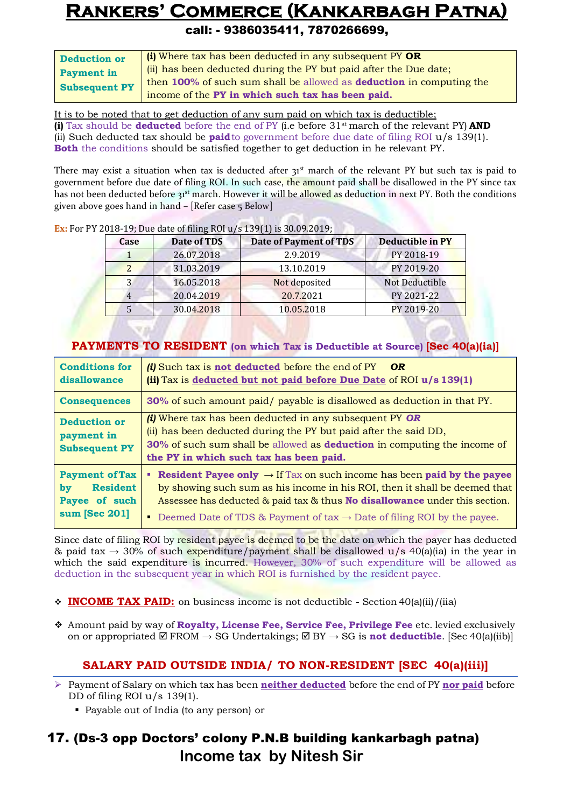#### call: - 9386035411, 7870266699,

| <b>Deduction or</b>  | (i) Where tax has been deducted in any subsequent PY OR                     |  |
|----------------------|-----------------------------------------------------------------------------|--|
| <b>Payment in</b>    | (ii) has been deducted during the PY but paid after the Due date;           |  |
| <b>Subsequent PY</b> | then 100% of such sum shall be allowed as <b>deduction</b> in computing the |  |
|                      | income of the PY in which such tax has been paid.                           |  |

It is to be noted that to get deduction of any sum paid on which tax is deductible; **(i)** Tax should be **deducted** before the end of PY (i.e before 31st march of the relevant PY) **AND** (ii) Such deducted tax should be **paid**to government before due date of filing ROI u/s 139(1). **Both** the conditions should be satisfied together to get deduction in he relevant PY.

There may exist a situation when tax is deducted after  $31<sup>st</sup>$  march of the relevant PY but such tax is paid to government before due date of filing ROI. In such case, the amount paid shall be disallowed in the PY since tax has not been deducted before 31<sup>st</sup> march. However it will be allowed as deduction in next PY. Both the conditions given above goes hand in hand – [Refer case 5 Below]

| <b>Case</b> | Date of TDS | <b>Date of Payment of TDS</b> | <b>Deductible in PY</b> |
|-------------|-------------|-------------------------------|-------------------------|
|             | 26.07.2018  | 2.9.2019                      | PY 2018-19              |
|             | 31.03.2019  | 13.10.2019                    | PY 2019-20              |
|             | 16.05.2018  | Not deposited                 | <b>Not Deductible</b>   |
|             | 20.04.2019  | 20.7.2021                     | PY 2021-22              |
|             | 30.04.2018  | 10.05.2018                    | PY 2019-20              |

**Ex:** For PY 2018-19; Due date of filing ROI u/s 139(1) is 30.09.2019;

#### **PAYMENTS TO RESIDENT (on which Tax is Deductible at Source) [Sec 40(a)(ia)]**

| <b>Conditions for</b><br>disallowance                                            | <i>(i)</i> Such tax is <b>not deducted</b> before the end of PY<br>- OR<br>(ii) Tax is deducted but not paid before Due Date of ROI u/s 139(1)                                                                                                                                                                                                                  |  |
|----------------------------------------------------------------------------------|-----------------------------------------------------------------------------------------------------------------------------------------------------------------------------------------------------------------------------------------------------------------------------------------------------------------------------------------------------------------|--|
| <b>Consequences</b>                                                              | 30% of such amount paid/ payable is disallowed as deduction in that PY.                                                                                                                                                                                                                                                                                         |  |
| <b>Deduction or</b><br>payment in<br><b>Subsequent PY</b>                        | <i>(i)</i> Where tax has been deducted in any subsequent PY OR<br>(ii) has been deducted during the PY but paid after the said DD,<br>30% of such sum shall be allowed as <b>deduction</b> in computing the income of<br>the PY in which such tax has been paid.                                                                                                |  |
| <b>Payment of Tax</b><br><b>Resident</b><br>by<br>Payee of such<br>sum [Sec 201] | <b>Example 1</b> Resident Payee only $\rightarrow$ If Tax on such income has been paid by the payee<br>by showing such sum as his income in his ROI, then it shall be deemed that<br>Assessee has deducted & paid tax & thus No disallowance under this section.<br><b>•</b> Deemed Date of TDS & Payment of tax $\rightarrow$ Date of filing ROI by the payee. |  |

Since date of filing ROI by resident payee is deemed to be the date on which the payer has deducted & paid tax  $\rightarrow$  30% of such expenditure/payment shall be disallowed u/s 40(a)(ia) in the year in which the said expenditure is incurred. However, 30% of such expenditure will be allowed as deduction in the subsequent year in which ROI is furnished by the resident payee.

- **INCOME TAX PAID:** on business income is not deductible Section 40(a)(ii)/(iia)
- Amount paid by way of **Royalty, License Fee, Service Fee, Privilege Fee** etc. levied exclusively on or appropriated  $\Box$  FROM  $\rightarrow$  SG Undertakings;  $\Box$  BY  $\rightarrow$  SG is **not deductible**. [Sec 40(a)(iib)]

#### **SALARY PAID OUTSIDE INDIA/ TO NON-RESIDENT [SEC 40(a)(iii)]**

- Payment of Salary on which tax has been **neither deducted** before the end of PY **nor paid** before DD of filing ROI u/s 139(1).
	- Payable out of India (to any person) or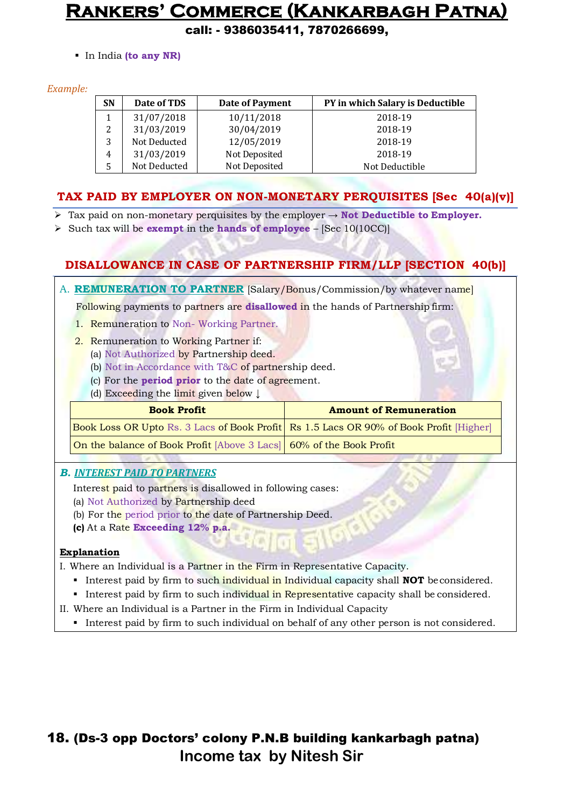call: - 9386035411, 7870266699,

In India **(to any NR)**

#### *Example:*

| <b>SN</b> | Date of TDS  | Date of Payment | PY in which Salary is Deductible |
|-----------|--------------|-----------------|----------------------------------|
|           | 31/07/2018   | 10/11/2018      | 2018-19                          |
| 2         | 31/03/2019   | 30/04/2019      | 2018-19                          |
| 3         | Not Deducted | 12/05/2019      | 2018-19                          |
| 4         | 31/03/2019   | Not Deposited   | 2018-19                          |
|           | Not Deducted | Not Deposited   | Not Deductible                   |

#### **TAX PAID BY EMPLOYER ON NON-MONETARY PERQUISITES [Sec 40(a)(v)]**

- $\triangleright$  Tax paid on non-monetary perquisites by the employer  $\rightarrow$  **Not Deductible to Employer.**
- $\triangleright$  Such tax will be **exempt** in the **hands of employee** [Sec 10(10CC)]

### **DISALLOWANCE IN CASE OF PARTNERSHIP FIRM/LLP [SECTION 40(b)]**

A. **REMUNERATION TO PARTNER** [Salary/Bonus/Commission/by whatever name]

Following payments to partners are **disallowed** in the hands of Partnership firm:

- 1. Remuneration to Non- Working Partner.
- 2. Remuneration to Working Partner if:
	- (a) Not Authorized by Partnership deed.
	- (b) Not in Accordance with T&C of partnership deed.
	- (c) For the **period prior** to the date of agreement.
	- (d) Exceeding the limit given below ↓

#### **Book Profit Amount of Remuneration**

Book Loss OR Upto Rs. 3 Lacs of Book Profit Rs 1.5 Lacs OR 90% of Book Profit [Higher]

On the balance of Book Profit [Above 3 Lacs] 60% of the Book Profit

#### *B. INTEREST PAID TO PARTNERS*

Interest paid to partners is disallowed in following cases:

- (a) Not Authorized by Partnership deed
- (b) For the period prior to the date of Partnership Deed.
- **(c)** At a Rate **Exceeding 12% p.a.**

#### **Explanation**

- I. Where an Individual is a Partner in the Firm in Representative Capacity.
	- Interest paid by firm to such individual in Individual capacity shall **NOT** beconsidered.
	- Interest paid by firm to such individual in Representative capacity shall be considered.
- II. Where an Individual is a Partner in the Firm in Individual Capacity
	- Interest paid by firm to such individual on behalf of any other person is not considered.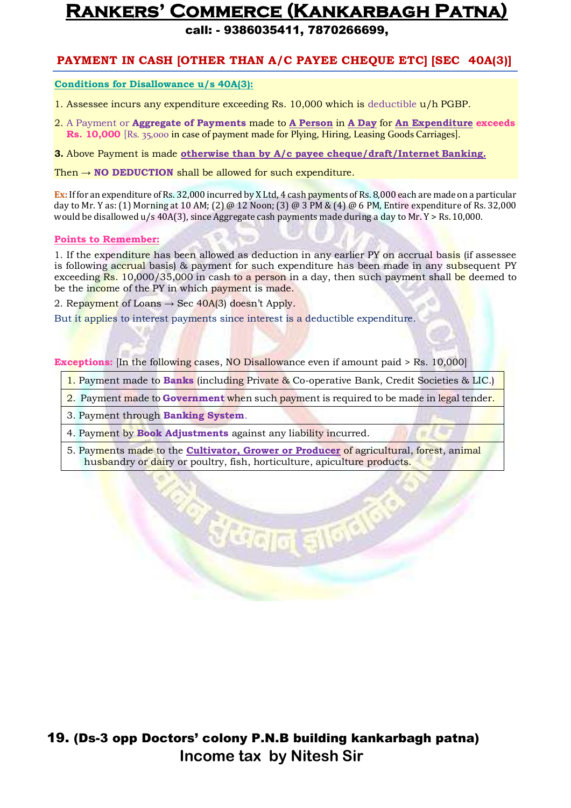call: - 9386035411, 7870266699,

#### **PAYMENT IN CASH [OTHER THAN A/C PAYEE CHEQUE ETC] [SEC 40A(3)]**

**Conditions for Disallowance u/s 40A(3):**

- 1. Assessee incurs any expenditure exceeding Rs. 10,000 which is deductible u/h PGBP.
- 2. A Payment or **Aggregate of Payments** made to **A Person** in **A Day** for **An Expenditure exceeds Rs. 10,000** [Rs. 35,000 in case of payment made for Plying, Hiring, Leasing Goods Carriages].

**3.** Above Payment is made **otherwise than by A/c payee cheque/draft/Internet Banking.**

Then → **NO DEDUCTION** shall be allowed for such expenditure.

**Ex:** If for an expenditure of Rs. 32,000 incurred by X Ltd, 4 cash payments of Rs. 8,000 each are made on a particular day to Mr. Y as: (1) Morning at 10 AM; (2) @ 12 Noon; (3) @ 3 PM & (4) @ 6 PM, Entire expenditure of Rs. 32,000 would be disallowed  $u/s$  40A(3), since Aggregate cash payments made during a day to Mr.  $Y > Rs$ . 10,000.

#### **Points to Remember:**

1. If the expenditure has been allowed as deduction in any earlier PY on accrual basis (if assessee is following accrual basis) & payment for such expenditure has been made in any subsequent PY exceeding  $\text{Rs. } 10,000/35,000$  in cash to a person in a day, then such payment shall be deemed to be the income of the PY in which payment is made.

2. Repayment of Loans  $\rightarrow$  Sec 40A(3) doesn't Apply.

But it applies to interest payments since interest is a deductible expenditure.

**Exceptions:** [In the following cases, NO Disallowance even if amount paid > Rs. 10,000]

- 1. Payment made to **Banks** (including Private & Co-operative Bank, Credit Societies & LIC.)
- 2. Payment made to **Government** when such payment is required to be made in legal tender.

3. Payment through **Banking System**.

4. Payment by **Book Adjustments** against any liability incurred.

5. Payments made to the **Cultivator, Grower or Producer** of agricultural, forest, animal husbandry or dairy or poultry, fish, horticulture, apiculture products.

उँ धरनान् इ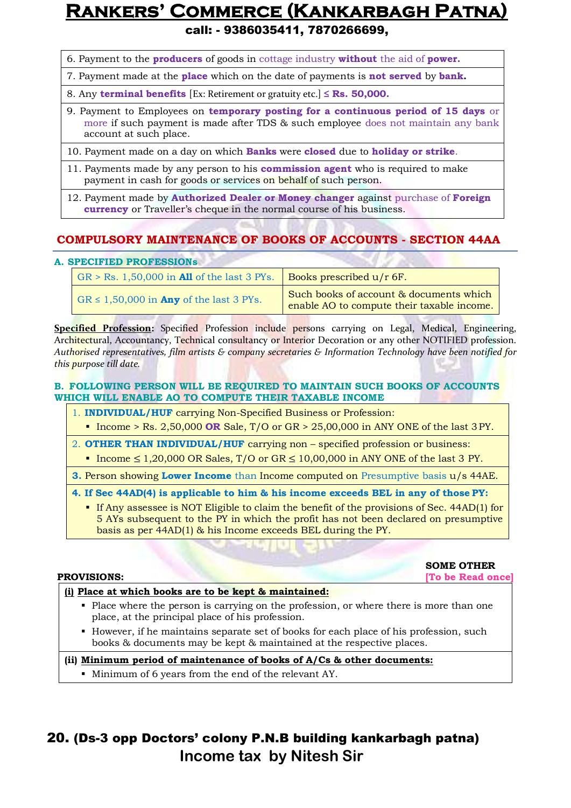call: - 9386035411, 7870266699,

- 6. Payment to the **producers** of goods in cottage industry **without** the aid of **power.**
- 7. Payment made at the **place** which on the date of payments is **not served** by **bank.**
- 8. Any **terminal benefits** [Ex: Retirement or gratuity etc.] **≤ Rs. 50,000.**
- 9. Payment to Employees on **temporary posting for a continuous period of 15 days** or more if such payment is made after TDS & such employee does not maintain any bank account at such place.
- 10. Payment made on a day on which **Banks** were **closed** due to **holiday or strike**.
- 11. Payments made by any person to his **commission agent** who is required to make payment in cash for goods or services on behalf of such person.
- 12. Payment made by **Authorized Dealer or Money changer** against purchase of **Foreign currency** or Traveller's cheque in the normal course of his business.

#### **COMPULSORY MAINTENANCE OF BOOKS OF ACCOUNTS - SECTION 44AA**

#### **A. SPECIFIED PROFESSIONs**

| $GR > Rs. 1,50,000$ in <b>All</b> of the last 3 PYs. | Books prescribed $u/r$ 6F.                                                            |
|------------------------------------------------------|---------------------------------------------------------------------------------------|
| GR $\leq$ 1,50,000 in <b>Any</b> of the last 3 PYs.  | Such books of account & documents which<br>enable AO to compute their taxable income. |

**Specified Profession:** Specified Profession include persons carrying on Legal, Medical, Engineering, Architectural, Accountancy, Technical consultancy or Interior Decoration or any other NOTIFIED profession. *Authorised representatives, film artists & company secretaries & Information Technology have been notified for this purpose till date.*

#### **B. FOLLOWING PERSON WILL BE REQUIRED TO MAINTAIN SUCH BOOKS OF ACCOUNTS WHICH WILL ENABLE AO TO COMPUTE THEIR TAXABLE INCOME**

- 1. **INDIVIDUAL/HUF** carrying Non-Specified Business or Profession:
- Income > Rs. 2,50,000 **OR** Sale, T/O or GR > 25,00,000 in ANY ONE of the last 3PY.
- 2. **OTHER THAN INDIVIDUAL/HUF** carrying non specified profession or business:
- Income  $\leq 1,20,000$  OR Sales, T/O or GR  $\leq 10,00,000$  in ANY ONE of the last 3 PY.
- **3. Person showing Lower Income** than Income computed on Presumptive basis u/s 44AE.
- **4. If Sec 44AD(4) is applicable to him & his income exceeds BEL in any of those PY:**
	- If Any assessee is NOT Eligible to claim the benefit of the provisions of Sec. 44AD(1) for 5 AYs subsequent to the PY in which the profit has not been declared on presumptive basis as per 44AD(1) & his Income exceeds BEL during the PY.

**SOME OTHER**

**PROVISIONS: [To be Read once]**

#### **(i) Place at which books are to be kept & maintained:**

- Place where the person is carrying on the profession, or where there is more than one place, at the principal place of his profession.
- However, if he maintains separate set of books for each place of his profession, such books & documents may be kept & maintained at the respective places.

#### **(ii) Minimum period of maintenance of books of A/Cs & other documents:**

Minimum of 6 years from the end of the relevant AY.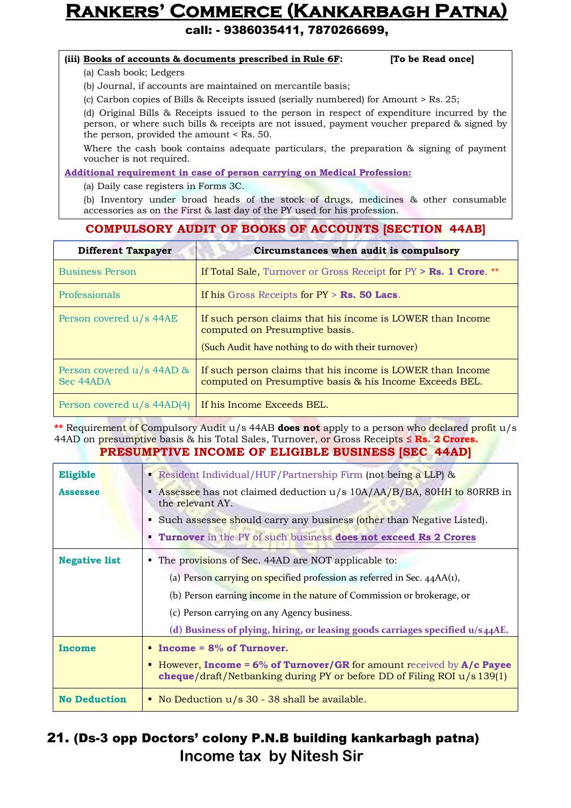call: - 9386035411, 7870266699,

#### **(iii) Books of accounts & documents prescribed in Rule 6F: [To be Read once]**

(a) Cash book; Ledgers

(b) Journal, if accounts are maintained on mercantile basis;

(c) Carbon copies of Bills & Receipts issued (serially numbered) for Amount > Rs.25;

(d) Original Bills & Receipts issued to the person in respect of expenditure incurred by the person, or where such bills & receipts are not issued, payment voucher prepared & signed by the person, provided the amount < Rs. 50.

Where the cash book contains adequate particulars, the preparation & signing of payment voucher is not required.

**Additional requirement in case of person carrying on Medical Profession:**

(a) Daily case registers in Forms 3C.

(b) Inventory under broad heads of the stock of drugs, medicines & other consumable accessories as on the First & last day of the PY used for his profession.

#### **COMPULSORY AUDIT OF BOOKS OF ACCOUNTS [SECTION 44AB]**

| <b>Different Taxpayer</b>              | Circumstances when audit is compulsory                                                                                                              |
|----------------------------------------|-----------------------------------------------------------------------------------------------------------------------------------------------------|
| <b>Business Person</b>                 | If Total Sale, Turnover or Gross Receipt for $PY > Rs. 1$ Crore. **                                                                                 |
| Professionals                          | If his Gross Receipts for $PY > Rs$ . 50 Lacs.                                                                                                      |
| Person covered u/s 44AE                | If such person claims that his income is LOWER than Income<br>computed on Presumptive basis.<br>(Such Audit have nothing to do with their turnover) |
| Person covered u/s 44AD &<br>Sec 44ADA | If such person claims that his income is LOWER than Income<br>computed on Presumptive basis & his Income Exceeds BEL.                               |
| Person covered u/s 44AD(4)             | If his Income Exceeds BEL.                                                                                                                          |

**\*\*** Requirement of Compulsory Audit u/s 44AB **does not** apply to a person who declared profit u/s 44AD on presumptive basis & his Total Sales, Turnover, or Gross Receipts **≤ Rs. 2 Crores. PRESUMPTIVE INCOME OF ELIGIBLE BUSINESS [SEC 44AD]**

| Eligible             | Resident Individual/HUF/Partnership Firm (not being a LLP) &                                                                                             |
|----------------------|----------------------------------------------------------------------------------------------------------------------------------------------------------|
| <b>Assessee</b>      | Assessee has not claimed deduction u/s 10A/AA/B/BA, 80HH to 80RRB in<br>٠<br>the relevant AY.                                                            |
|                      | Such assessee should carry any business (other than Negative Listed).                                                                                    |
|                      | Turnover in the PY of such business does not exceed Rs 2 Crores                                                                                          |
| <b>Negative list</b> | • The provisions of Sec. 44AD are NOT applicable to:                                                                                                     |
|                      | (a) Person carrying on specified profession as referred in Sec. $44AA(1)$ ,                                                                              |
|                      | (b) Person earning income in the nature of Commission or brokerage, or                                                                                   |
|                      | (c) Person carrying on any Agency business.                                                                                                              |
|                      | (d) Business of plying, hiring, or leasing goods carriages specified $u/s$ 44AE.                                                                         |
| Income               | $\blacksquare$ Income = 8% of Turnover.                                                                                                                  |
|                      | • However, Income = $6\%$ of Turnover/GR for amount received by $A/c$ Payee<br>cheque/draft/Netbanking during PY or before DD of Filing ROI $u/s 139(1)$ |
| <b>No Deduction</b>  | • No Deduction u/s 30 - 38 shall be available.                                                                                                           |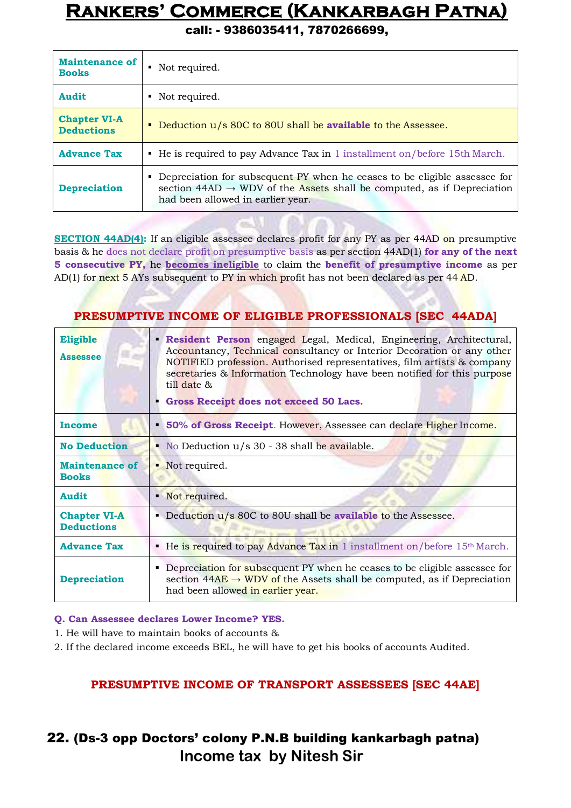call: - 9386035411, 7870266699,

| <b>Maintenance of</b><br><b>Books</b>    | • Not required.                                                                                                                                                                                        |  |
|------------------------------------------|--------------------------------------------------------------------------------------------------------------------------------------------------------------------------------------------------------|--|
| <b>Audit</b>                             | • Not required.                                                                                                                                                                                        |  |
| <b>Chapter VI-A</b><br><b>Deductions</b> | Deduction u/s 80C to 80U shall be available to the Assessee.                                                                                                                                           |  |
| <b>Advance Tax</b>                       | • He is required to pay Advance Tax in 1 installment on/before 15th March.                                                                                                                             |  |
| <b>Depreciation</b>                      | • Depreciation for subsequent PY when he ceases to be eligible assessee for<br>section $44AD \rightarrow WDV$ of the Assets shall be computed, as if Depreciation<br>had been allowed in earlier year. |  |

**SECTION 44AD(4):** If an eligible assessee declares profit for any PY as per 44AD on presumptive basis & he does not declare profit on presumptive basis as per section 44AD(1) **for any of the next 5 consecutive PY,** he **becomes ineligible** to claim the **benefit of presumptive income** as per AD(1) for next 5 AYs subsequent to PY in which profit has not been declared as per 44 AD.

#### **PRESUMPTIVE INCOME OF ELIGIBLE PROFESSIONALS [SEC 44ADA]**

| Eligible<br><b>Assessee</b>              | Resident Person engaged Legal, Medical, Engineering, Architectural,<br>Accountancy, Technical consultancy or Interior Decoration or any other<br>NOTIFIED profession. Authorised representatives, film artists & company<br>secretaries & Information Technology have been notified for this purpose<br>$\text{till date } \&$<br>Gross Receipt does not exceed 50 Lacs. |  |
|------------------------------------------|--------------------------------------------------------------------------------------------------------------------------------------------------------------------------------------------------------------------------------------------------------------------------------------------------------------------------------------------------------------------------|--|
| <b>Income</b>                            | 50% of Gross Receipt. However, Assessee can declare Higher Income.<br>٠                                                                                                                                                                                                                                                                                                  |  |
| <b>No Deduction</b>                      | • No Deduction $u/s$ 30 - 38 shall be available.                                                                                                                                                                                                                                                                                                                         |  |
| <b>Maintenance of</b><br><b>Books</b>    | • Not required.                                                                                                                                                                                                                                                                                                                                                          |  |
| <b>Audit</b>                             | • Not required.                                                                                                                                                                                                                                                                                                                                                          |  |
| <b>Chapter VI-A</b><br><b>Deductions</b> | Deduction $u/s$ 80C to 80U shall be <b>available</b> to the Assessee.                                                                                                                                                                                                                                                                                                    |  |
| <b>Advance Tax</b>                       | • He is required to pay Advance Tax in 1 installment on/before $15th March$ .                                                                                                                                                                                                                                                                                            |  |
| <b>Depreciation</b>                      | • Depreciation for subsequent PY when he ceases to be eligible assessee for<br>section $44AE \rightarrow WDV$ of the Assets shall be computed, as if Depreciation<br>had been allowed in earlier year.                                                                                                                                                                   |  |

**Q. Can Assessee declares Lower Income? YES.**

1. He will have to maintain books of accounts &

2. If the declared income exceeds BEL, he will have to get his books of accounts Audited.

#### **PRESUMPTIVE INCOME OF TRANSPORT ASSESSEES [SEC 44AE]**